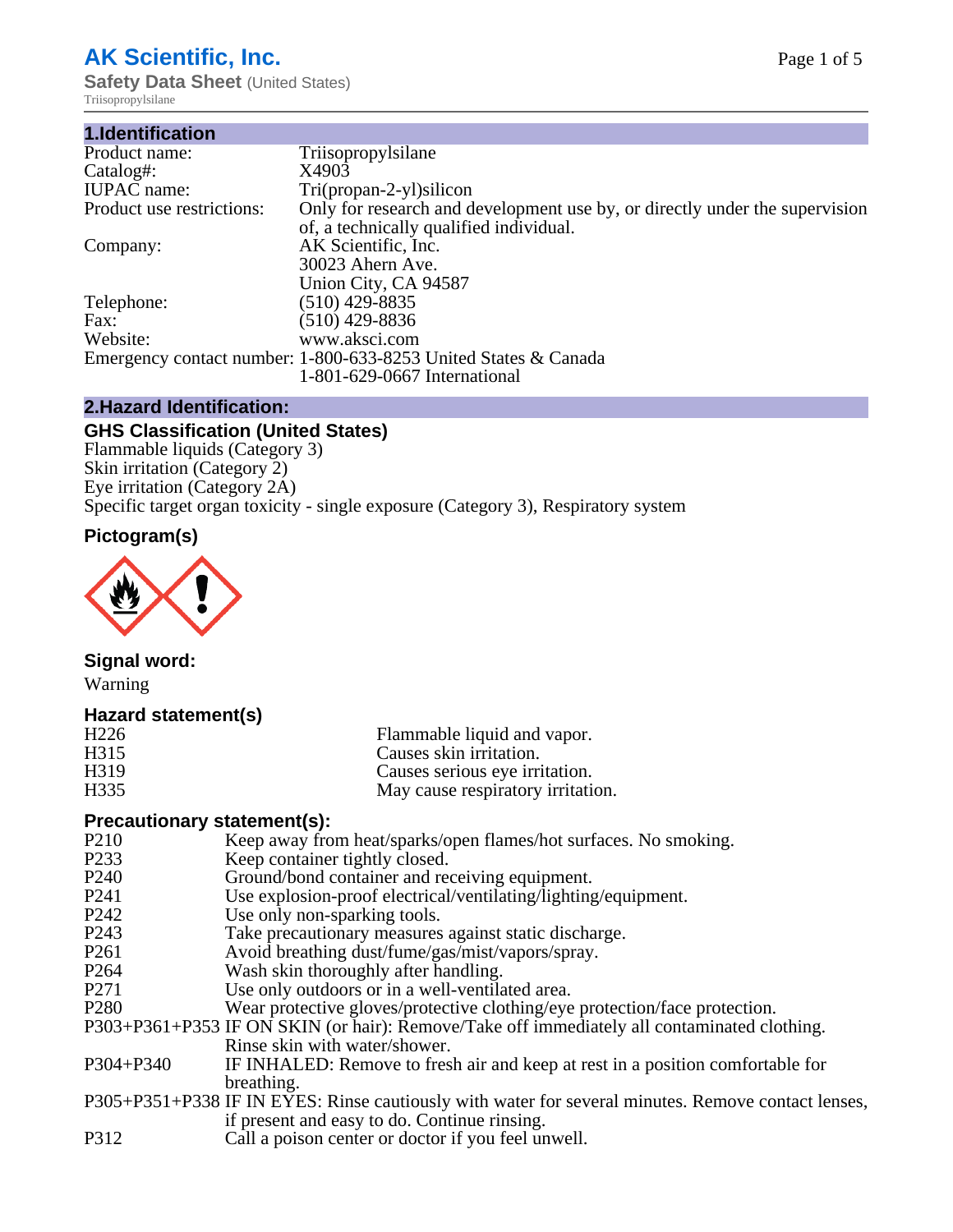# **AK Scientific, Inc.**

**Safety Data Sheet** (United States) Triisopropylsilane

| 1.Identification          |                                                                             |
|---------------------------|-----------------------------------------------------------------------------|
| Product name:             | Triisopropylsilane                                                          |
| Catalog#:                 | X4903                                                                       |
| <b>IUPAC</b> name:        | $Tri(propan-2-yl)silicon$                                                   |
| Product use restrictions: | Only for research and development use by, or directly under the supervision |
|                           | of, a technically qualified individual.                                     |
| Company:                  | AK Scientific, Inc.                                                         |
|                           | 30023 Ahern Ave.                                                            |
|                           | Union City, CA 94587                                                        |
| Telephone:                | $(510)$ 429-8835                                                            |
| Fax:                      | $(510)$ 429-8836                                                            |
| Website:                  | www.aksci.com                                                               |
|                           | Emergency contact number: 1-800-633-8253 United States & Canada             |
|                           | 1-801-629-0667 International                                                |

### **2.Hazard Identification:**

### **GHS Classification (United States)**

Flammable liquids (Category 3) Skin irritation (Category 2) Eye irritation (Category 2A) Specific target organ toxicity - single exposure (Category 3), Respiratory system

### **Pictogram(s)**



### **Signal word:**

Warning

### **Hazard statement(s)**

| H <sub>226</sub>  | Flammable liquid and vapor.       |
|-------------------|-----------------------------------|
| H <sub>3</sub> 15 | Causes skin irritation.           |
| H <sub>3</sub> 19 | Causes serious eye irritation.    |
| H <sub>335</sub>  | May cause respiratory irritation. |

#### **Precautionary statement(s):**

- P210 Keep away from heat/sparks/open flames/hot surfaces. No smoking.<br>P233 Keep container tightly closed
- P233 Keep container tightly closed.<br>P240 Ground/bond container and re
- Ground/bond container and receiving equipment.
- P241 Use explosion-proof electrical/ventilating/lighting/equipment.<br>P242 Use only non-sparking tools.
- P242 Use only non-sparking tools.<br>P243 Take precautionary measures
- P243 Take precautionary measures against static discharge.<br>P261 Avoid breathing dust/fume/gas/mist/vapors/sprav.
- Avoid breathing dust/fume/gas/mist/vapors/spray.
- P264 Wash skin thoroughly after handling.
- P271 Use only outdoors or in a well-ventilated area.
- P280 Wear protective gloves/protective clothing/eye protection/face protection.
- P303+P361+P353 IF ON SKIN (or hair): Remove/Take off immediately all contaminated clothing. Rinse skin with water/shower.
- P304+P340 IF INHALED: Remove to fresh air and keep at rest in a position comfortable for breathing.
- P305+P351+P338 IF IN EYES: Rinse cautiously with water for several minutes. Remove contact lenses, if present and easy to do. Continue rinsing.
- P312 Call a poison center or doctor if you feel unwell.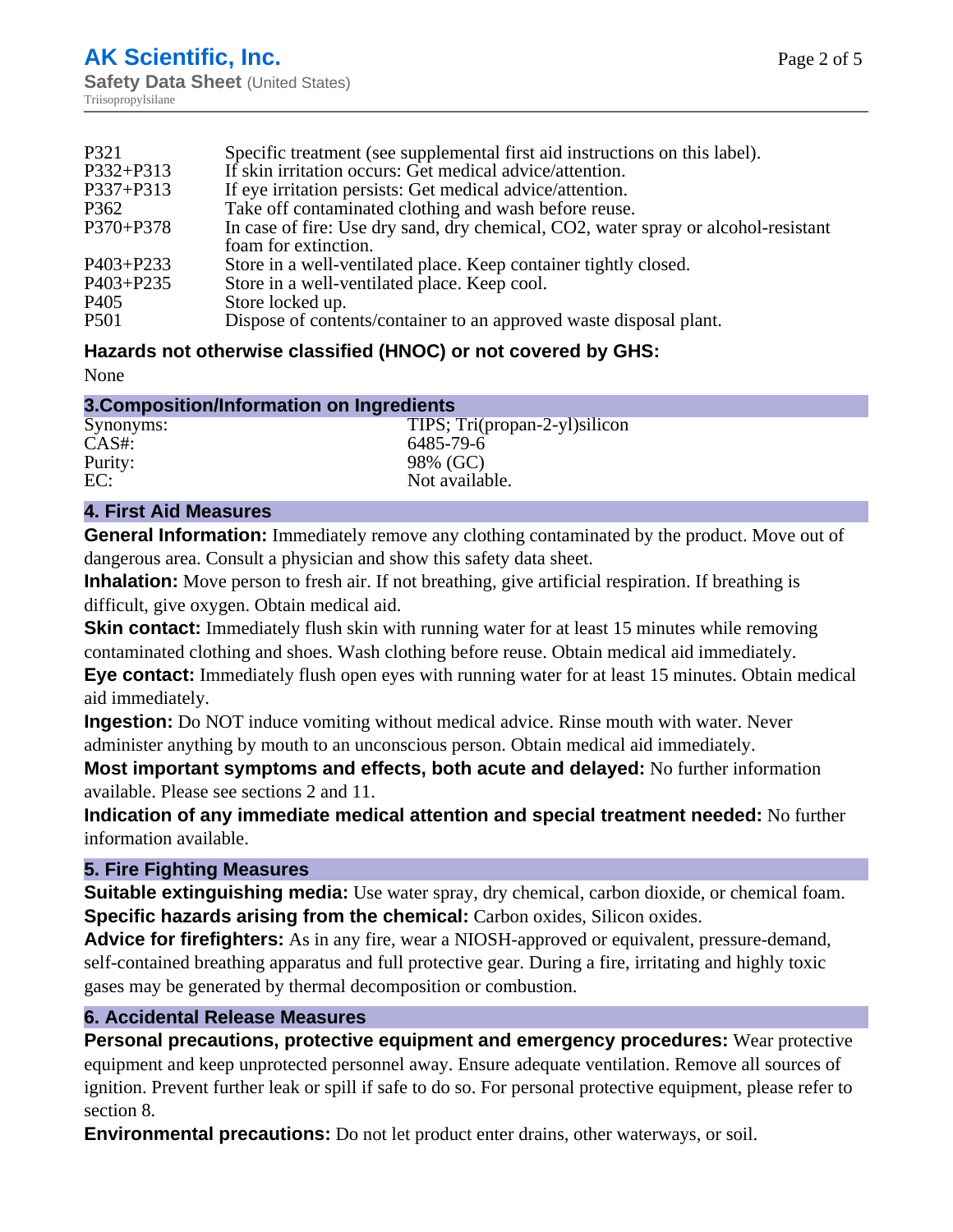| P321             | Specific treatment (see supplemental first aid instructions on this label).        |
|------------------|------------------------------------------------------------------------------------|
| P332+P313        | If skin irritation occurs: Get medical advice/attention.                           |
| P337+P313        | If eye irritation persists: Get medical advice/attention.                          |
| P362             | Take off contaminated clothing and wash before reuse.                              |
| P370+P378        | In case of fire: Use dry sand, dry chemical, CO2, water spray or alcohol-resistant |
|                  | foam for extinction.                                                               |
| P403+P233        | Store in a well-ventilated place. Keep container tightly closed.                   |
| P403+P235        | Store in a well-ventilated place. Keep cool.                                       |
| P <sub>405</sub> | Store locked up.                                                                   |
| P <sub>501</sub> | Dispose of contents/container to an approved waste disposal plant.                 |

### **Hazards not otherwise classified (HNOC) or not covered by GHS:**

None

| 3. Composition/Information on Ingredients |                                |  |
|-------------------------------------------|--------------------------------|--|
| Synonyms:                                 | TIPS; Tri(propan-2-yl) silicon |  |
| $CAS#$ :                                  | 6485-79-6                      |  |
| Purity:                                   | 98% (GC)                       |  |
| EC:                                       | Not available.                 |  |

### **4. First Aid Measures**

**General Information:** Immediately remove any clothing contaminated by the product. Move out of dangerous area. Consult a physician and show this safety data sheet.

**Inhalation:** Move person to fresh air. If not breathing, give artificial respiration. If breathing is difficult, give oxygen. Obtain medical aid.

**Skin contact:** Immediately flush skin with running water for at least 15 minutes while removing contaminated clothing and shoes. Wash clothing before reuse. Obtain medical aid immediately.

**Eye contact:** Immediately flush open eyes with running water for at least 15 minutes. Obtain medical aid immediately.

**Ingestion:** Do NOT induce vomiting without medical advice. Rinse mouth with water. Never administer anything by mouth to an unconscious person. Obtain medical aid immediately.

**Most important symptoms and effects, both acute and delayed:** No further information available. Please see sections 2 and 11.

**Indication of any immediate medical attention and special treatment needed:** No further information available.

#### **5. Fire Fighting Measures**

**Suitable extinguishing media:** Use water spray, dry chemical, carbon dioxide, or chemical foam. **Specific hazards arising from the chemical:** Carbon oxides, Silicon oxides.

**Advice for firefighters:** As in any fire, wear a NIOSH-approved or equivalent, pressure-demand, self-contained breathing apparatus and full protective gear. During a fire, irritating and highly toxic gases may be generated by thermal decomposition or combustion.

#### **6. Accidental Release Measures**

**Personal precautions, protective equipment and emergency procedures:** Wear protective equipment and keep unprotected personnel away. Ensure adequate ventilation. Remove all sources of ignition. Prevent further leak or spill if safe to do so. For personal protective equipment, please refer to section 8.

**Environmental precautions:** Do not let product enter drains, other waterways, or soil.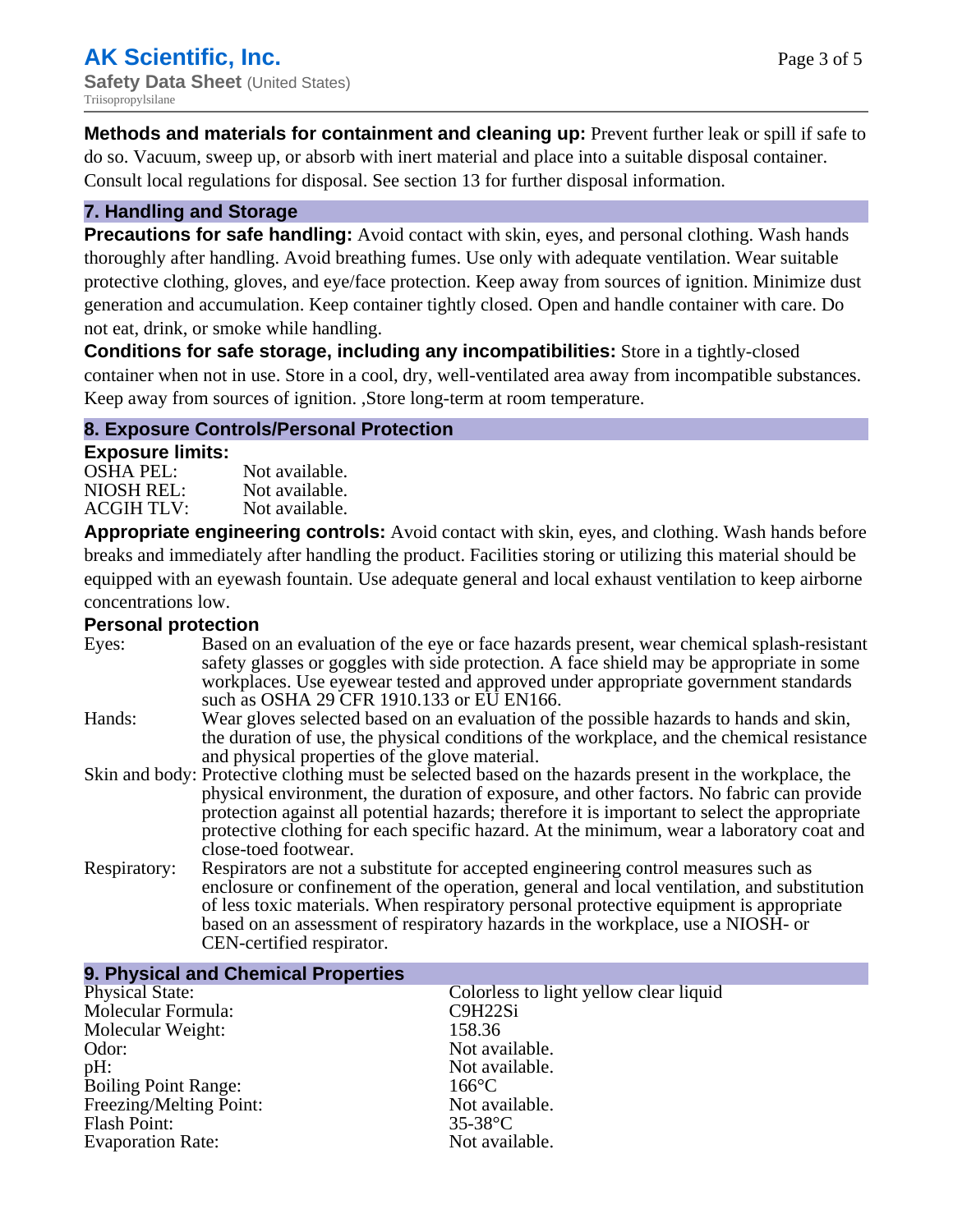**Methods and materials for containment and cleaning up:** Prevent further leak or spill if safe to do so. Vacuum, sweep up, or absorb with inert material and place into a suitable disposal container. Consult local regulations for disposal. See section 13 for further disposal information.

#### **7. Handling and Storage**

**Precautions for safe handling:** Avoid contact with skin, eyes, and personal clothing. Wash hands thoroughly after handling. Avoid breathing fumes. Use only with adequate ventilation. Wear suitable protective clothing, gloves, and eye/face protection. Keep away from sources of ignition. Minimize dust generation and accumulation. Keep container tightly closed. Open and handle container with care. Do not eat, drink, or smoke while handling.

**Conditions for safe storage, including any incompatibilities:** Store in a tightly-closed container when not in use. Store in a cool, dry, well-ventilated area away from incompatible substances. Keep away from sources of ignition. ,Store long-term at room temperature.

#### **8. Exposure Controls/Personal Protection**

#### **Exposure limits:**

| <b>OSHA PEL:</b>  | Not available. |
|-------------------|----------------|
| NIOSH REL:        | Not available. |
| <b>ACGIH TLV:</b> | Not available. |

**Appropriate engineering controls:** Avoid contact with skin, eyes, and clothing. Wash hands before breaks and immediately after handling the product. Facilities storing or utilizing this material should be equipped with an eyewash fountain. Use adequate general and local exhaust ventilation to keep airborne concentrations low.

#### **Personal protection**

| Eyes:        | Based on an evaluation of the eye or face hazards present, wear chemical splash-resistant<br>safety glasses or goggles with side protection. A face shield may be appropriate in some<br>workplaces. Use eyewear tested and approved under appropriate government standards<br>such as OSHA 29 CFR 1910.133 or EU EN166.                                                                                                |
|--------------|-------------------------------------------------------------------------------------------------------------------------------------------------------------------------------------------------------------------------------------------------------------------------------------------------------------------------------------------------------------------------------------------------------------------------|
| Hands:       | Wear gloves selected based on an evaluation of the possible hazards to hands and skin,<br>the duration of use, the physical conditions of the workplace, and the chemical resistance<br>and physical properties of the glove material.                                                                                                                                                                                  |
|              | Skin and body: Protective clothing must be selected based on the hazards present in the workplace, the<br>physical environment, the duration of exposure, and other factors. No fabric can provide<br>protection against all potential hazards; therefore it is important to select the appropriate<br>protective clothing for each specific hazard. At the minimum, wear a laboratory coat and<br>close-toed footwear. |
| Respiratory: | Respirators are not a substitute for accepted engineering control measures such as<br>enclosure or confinement of the operation, general and local ventilation, and substitution<br>of less toxic materials. When respiratory personal protective equipment is appropriate<br>based on an assessment of respiratory hazards in the workplace, use a NIOSH- or<br>CEN-certified respirator.                              |

| 9. Physical and Chemical Properties |                                        |
|-------------------------------------|----------------------------------------|
| <b>Physical State:</b>              | Colorless to light yellow clear liquid |
| Molecular Formula:                  | C9H22Si                                |
| Molecular Weight:                   | 158.36                                 |
| Odor:                               | Not available.                         |
| pH:                                 | Not available.                         |
| <b>Boiling Point Range:</b>         | $166^{\circ}$ C                        |
| Freezing/Melting Point:             | Not available.                         |
| Flash Point:                        | $35-38$ °C                             |
| <b>Evaporation Rate:</b>            | Not available.                         |
|                                     |                                        |

### **9. Physical and Chemical Properties**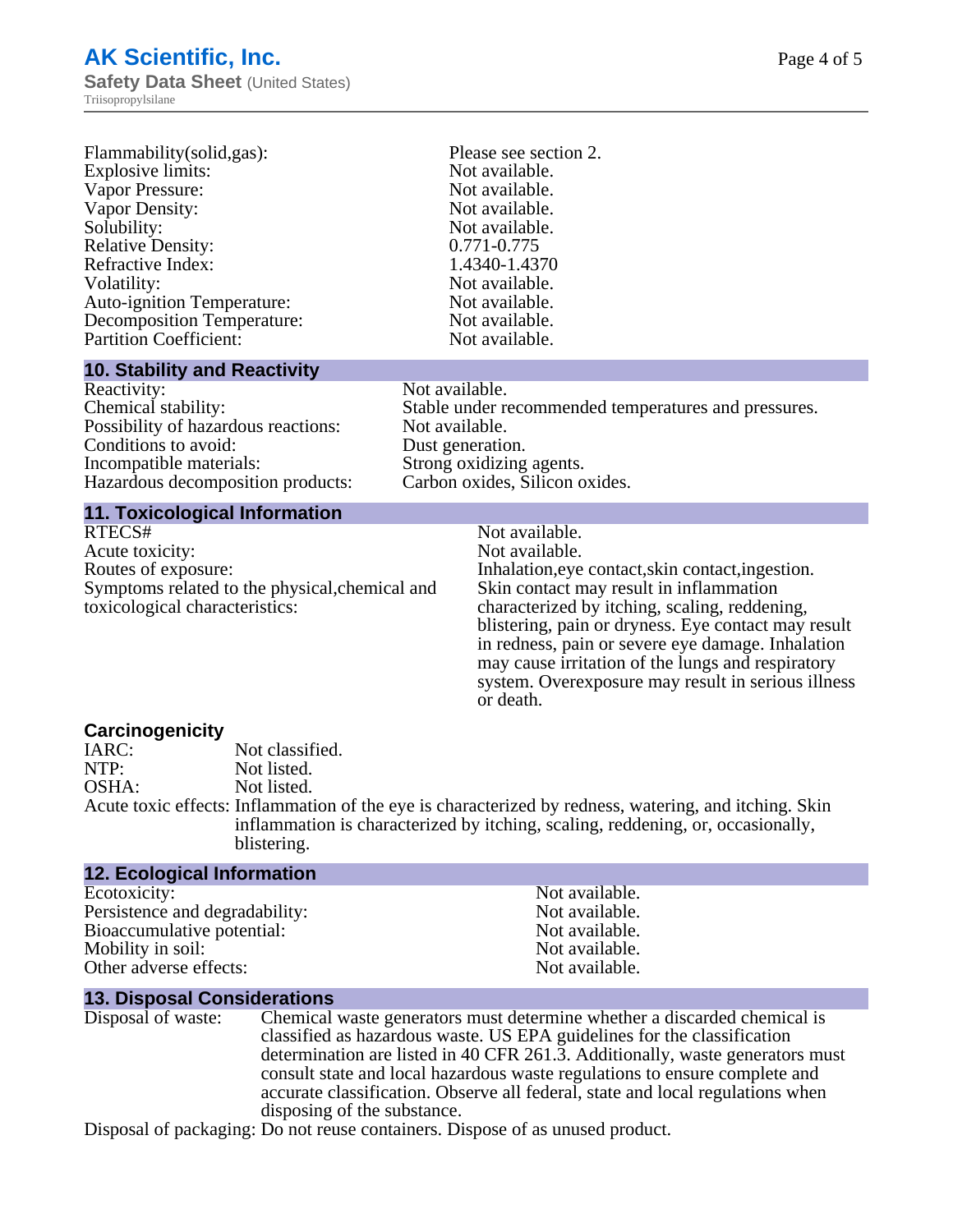# **AK Scientific, Inc. Safety Data Sheet (United States)**

Triisopropylsilane

| Flammability(solid,gas):                                                                                                                                                                                                                                                                                                                                                                                     | Please see section 2. |  |
|--------------------------------------------------------------------------------------------------------------------------------------------------------------------------------------------------------------------------------------------------------------------------------------------------------------------------------------------------------------------------------------------------------------|-----------------------|--|
| Explosive limits:                                                                                                                                                                                                                                                                                                                                                                                            | Not available.        |  |
| Vapor Pressure:                                                                                                                                                                                                                                                                                                                                                                                              | Not available.        |  |
| Vapor Density:                                                                                                                                                                                                                                                                                                                                                                                               | Not available.        |  |
| Solubility:                                                                                                                                                                                                                                                                                                                                                                                                  | Not available.        |  |
| <b>Relative Density:</b>                                                                                                                                                                                                                                                                                                                                                                                     | 0.771-0.775           |  |
| Refractive Index:                                                                                                                                                                                                                                                                                                                                                                                            | 1.4340-1.4370         |  |
| Volatility:                                                                                                                                                                                                                                                                                                                                                                                                  | Not available.        |  |
| Auto-ignition Temperature:                                                                                                                                                                                                                                                                                                                                                                                   | Not available.        |  |
| Decomposition Temperature:                                                                                                                                                                                                                                                                                                                                                                                   | Not available.        |  |
| <b>Partition Coefficient:</b>                                                                                                                                                                                                                                                                                                                                                                                | Not available.        |  |
| $\overline{AB}$ $\overline{BC}$ $\overline{BC}$ $\overline{BC}$ $\overline{BC}$ $\overline{BC}$ $\overline{BC}$ $\overline{BC}$ $\overline{BC}$ $\overline{BC}$ $\overline{BC}$ $\overline{BC}$ $\overline{BC}$ $\overline{BC}$ $\overline{BC}$ $\overline{BC}$ $\overline{BC}$ $\overline{BC}$ $\overline{BC}$ $\overline{BC}$ $\overline{BC}$ $\overline{BC}$ $\overline{BC}$ $\overline{BC}$ $\overline{$ |                       |  |

#### **10. Stability and Reactivity**

| Reactivity:                         |
|-------------------------------------|
| Chemical stability:                 |
| Possibility of hazardous reactions: |
| Conditions to avoid:                |
| Incompatible materials:             |
| Hazardous decomposition products:   |
|                                     |

#### Not available. Stable under recommended temperatures and pressures. Not available. Dust generation. Strong oxidizing agents. Carbon oxides, Silicon oxides.

### **11. Toxicological Information**

| RTECS#                                         |
|------------------------------------------------|
| Acute toxicity:                                |
| Routes of exposure:                            |
| Symptoms related to the physical, chemical and |
| toxicological characteristics:                 |

Not available.

Not available. Inhalation,eye contact, skin contact, ingestion. Skin contact may result in inflammation characterized by itching, scaling, reddening, blistering, pain or dryness. Eye contact may result in redness, pain or severe eye damage. Inhalation may cause irritation of the lungs and respiratory system. Overexposure may result in serious illness or death.

#### **Carcinogenicity**

| Acute toxic effects: Inflammation of the eye is characterized by redness, watering, and itching. Skin<br>inflammation is characterized by itching, scaling, reddening, or, occasionally, |
|------------------------------------------------------------------------------------------------------------------------------------------------------------------------------------------|
|                                                                                                                                                                                          |

| <b>12. Ecological Information</b> |                |
|-----------------------------------|----------------|
| Ecotoxicity:                      | Not available. |
| Persistence and degradability:    | Not available. |
| Bioaccumulative potential:        | Not available. |
| Mobility in soil:                 | Not available. |
| Other adverse effects:            | Not available. |

#### **13. Disposal Considerations**

| Disposal of waste: | Chemical waste generators must determine whether a discarded chemical is       |
|--------------------|--------------------------------------------------------------------------------|
|                    | classified as hazardous waste. US EPA guidelines for the classification        |
|                    | determination are listed in 40 CFR 261.3. Additionally, waste generators must  |
|                    | consult state and local hazardous waste regulations to ensure complete and     |
|                    | accurate classification. Observe all federal, state and local regulations when |
|                    | disposing of the substance.                                                    |
|                    |                                                                                |

Disposal of packaging: Do not reuse containers. Dispose of as unused product.